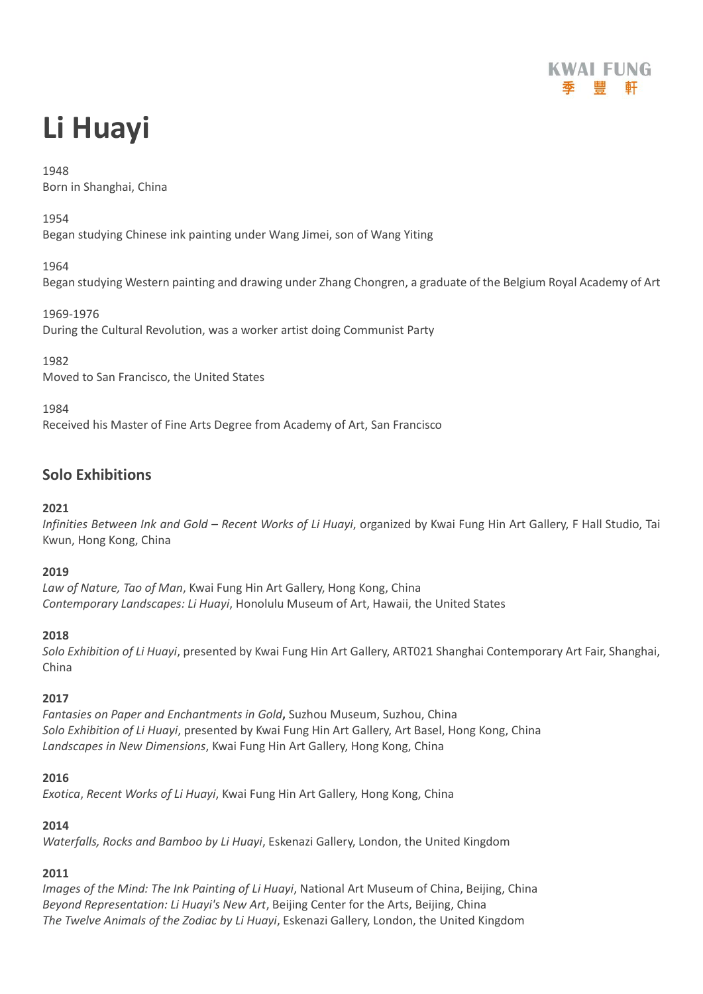

# **Li Huayi**

# 1948

Born in Shanghai, China

1954

Began studying Chinese ink painting under Wang Jimei, son of Wang Yiting

# 1964

Began studying Western painting and drawing under Zhang Chongren, a graduate of the Belgium Royal Academy of Art

1969-1976 During the Cultural Revolution, was a worker artist doing Communist Party

1982

Moved to San Francisco, the United States

1984

Received his Master of Fine Arts Degree from Academy of Art, San Francisco

# **Solo Exhibitions**

# **2021**

*Infinities Between Ink and Gold – Recent Works of Li Huayi*, organized by Kwai Fung Hin Art Gallery, F Hall Studio, Tai Kwun, Hong Kong, China

# **2019**

*Law of Nature, Tao of Man*, Kwai Fung Hin Art Gallery, Hong Kong, China *Contemporary Landscapes: Li Huayi*, Honolulu Museum of Art, Hawaii, the United States

# **2018**

*Solo Exhibition of Li Huayi*, presented by Kwai Fung Hin Art Gallery, ART021 Shanghai Contemporary Art Fair, Shanghai, China

# **2017**

*Fantasies on Paper and Enchantments in Gold***,** Suzhou Museum, Suzhou, China *Solo Exhibition of Li Huayi*, presented by Kwai Fung Hin Art Gallery, Art Basel, Hong Kong, China *Landscapes in New Dimensions*, Kwai Fung Hin Art Gallery, Hong Kong, China

# **2016**

*Exotica*, *Recent Works of Li Huayi*, Kwai Fung Hin Art Gallery, Hong Kong, China

# **2014**

*Waterfalls, Rocks and Bamboo by Li Huayi*, Eskenazi Gallery, London, the United Kingdom

# **2011**

*Images of the Mind: The Ink Painting of Li Huayi*, National Art Museum of China, Beijing, China *Beyond Representation: Li Huayi's New Art*, Beijing Center for the Arts, Beijing, China *The Twelve Animals of the Zodiac by Li Huayi*, Eskenazi Gallery, London, the United Kingdom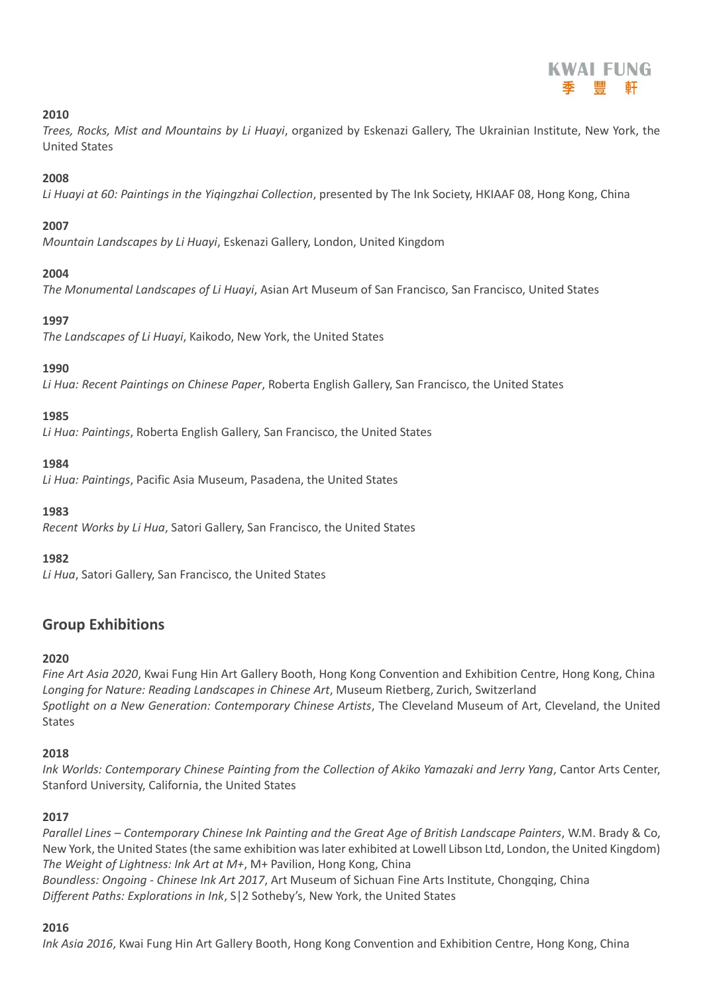*Trees, Rocks, Mist and Mountains by Li Huayi*, organized by Eskenazi Gallery, The Ukrainian Institute, New York, the United States

### **2008**

*Li Huayi at 60: Paintings in the Yiqingzhai Collection*, presented by The Ink Society, HKIAAF 08, Hong Kong, China

# **2007**

*Mountain Landscapes by Li Huayi*, Eskenazi Gallery, London, United Kingdom

#### **2004**

*The Monumental Landscapes of Li Huayi*, Asian Art Museum of San Francisco, San Francisco, United States

#### **1997**

*The Landscapes of Li Huayi*, Kaikodo, New York, the United States

#### **1990**

*Li Hua: Recent Paintings on Chinese Paper*, Roberta English Gallery, San Francisco, the United States

#### **1985**

*Li Hua: Paintings*, Roberta English Gallery, San Francisco, the United States

#### **1984**

*Li Hua: Paintings*, Pacific Asia Museum, Pasadena, the United States

#### **1983**

*Recent Works by Li Hua*, Satori Gallery, San Francisco, the United States

#### **1982**

*Li Hua*, Satori Gallery, San Francisco, the United States

# **Group Exhibitions**

#### **2020**

*Fine Art Asia 2020*, Kwai Fung Hin Art Gallery Booth, Hong Kong Convention and Exhibition Centre, Hong Kong, China *Longing for Nature: Reading Landscapes in Chinese Art*, Museum Rietberg, Zurich, Switzerland *Spotlight on a New Generation: Contemporary Chinese Artists*, The Cleveland Museum of Art, Cleveland, the United **States** 

# **2018**

*Ink Worlds: Contemporary Chinese Painting from the Collection of Akiko Yamazaki and Jerry Yang*, Cantor Arts Center, Stanford University, California, the United States

# **2017**

*Parallel Lines – Contemporary Chinese Ink Painting and the Great Age of British Landscape Painters*, W.M. Brady & Co, New York, the United States (the same exhibition was later exhibited at Lowell Libson Ltd, London, the United Kingdom) *The Weight of Lightness: Ink Art at M+*, M+ Pavilion, Hong Kong, China *Boundless: Ongoing - Chinese Ink Art 2017*, Art Museum of Sichuan Fine Arts Institute, Chongqing, China *Different Paths: Explorations in Ink*, S|2 Sotheby's, New York, the United States

#### **2016**

*Ink Asia 2016*, Kwai Fung Hin Art Gallery Booth, Hong Kong Convention and Exhibition Centre, Hong Kong, China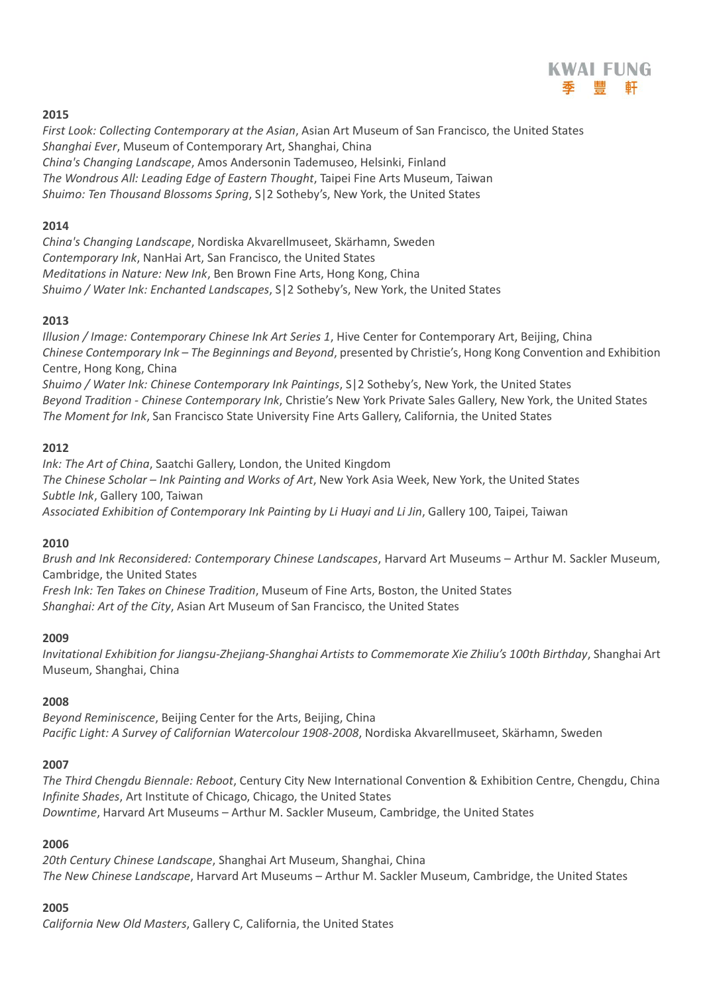

*First Look: Collecting Contemporary at the Asian*, Asian Art Museum of San Francisco, the United States *Shanghai Ever*, Museum of Contemporary Art, Shanghai, China *China's Changing Landscape*, Amos Andersonin Tademuseo, Helsinki, Finland *The Wondrous All: Leading Edge of Eastern Thought*, Taipei Fine Arts Museum, Taiwan *Shuimo: Ten Thousand Blossoms Spring*, S|2 Sotheby's, New York, the United States

# **2014**

*China's Changing Landscape*, Nordiska Akvarellmuseet, Skärhamn, Sweden *Contemporary Ink*, NanHai Art, San Francisco, the United States *Meditations in Nature: New Ink*, Ben Brown Fine Arts, Hong Kong, China *Shuimo / Water Ink: Enchanted Landscapes*, S|2 Sotheby's, New York, the United States

# **2013**

*Illusion / Image: Contemporary Chinese Ink Art Series 1*, Hive Center for Contemporary Art, Beijing, China *Chinese Contemporary Ink – The Beginnings and Beyond*, presented by Christie's, Hong Kong Convention and Exhibition Centre, Hong Kong, China *Shuimo / Water Ink: Chinese Contemporary Ink Paintings*, S|2 Sotheby's, New York, the United States

*Beyond Tradition - Chinese Contemporary Ink*, Christie's New York Private Sales Gallery, New York, the United States *The Moment for Ink*, San Francisco State University Fine Arts Gallery, California, the United States

# **2012**

*Ink: The Art of China*, Saatchi Gallery, London, the United Kingdom *The Chinese Scholar – Ink Painting and Works of Art*, New York Asia Week, New York, the United States *Subtle Ink*, Gallery 100, Taiwan *Associated Exhibition of Contemporary Ink Painting by Li Huayi and Li Jin*, Gallery 100, Taipei, Taiwan

# **2010**

*Brush and Ink Reconsidered: Contemporary Chinese Landscapes*, Harvard Art Museums – Arthur M. Sackler Museum, Cambridge, the United States

*Fresh Ink: Ten Takes on Chinese Tradition*, Museum of Fine Arts, Boston, the United States *Shanghai: Art of the City*, Asian Art Museum of San Francisco, the United States

# **2009**

*Invitational Exhibition for Jiangsu-Zhejiang-Shanghai Artists to Commemorate Xie Zhiliu's 100th Birthday*, Shanghai Art Museum, Shanghai, China

# **2008**

*Beyond Reminiscence*, Beijing Center for the Arts, Beijing, China *Pacific Light: A Survey of Californian Watercolour 1908-2008*, Nordiska Akvarellmuseet, Skärhamn, Sweden

# **2007**

*The Third Chengdu Biennale: Reboot*, Century City New International Convention & Exhibition Centre, Chengdu, China *Infinite Shades*, Art Institute of Chicago, Chicago, the United States *Downtime*, Harvard Art Museums – Arthur M. Sackler Museum, Cambridge, the United States

# **2006**

*20th Century Chinese Landscape*, Shanghai Art Museum, Shanghai, China *The New Chinese Landscape*, Harvard Art Museums – Arthur M. Sackler Museum, Cambridge, the United States

# **2005**

*California New Old Masters*, Gallery C, California, the United States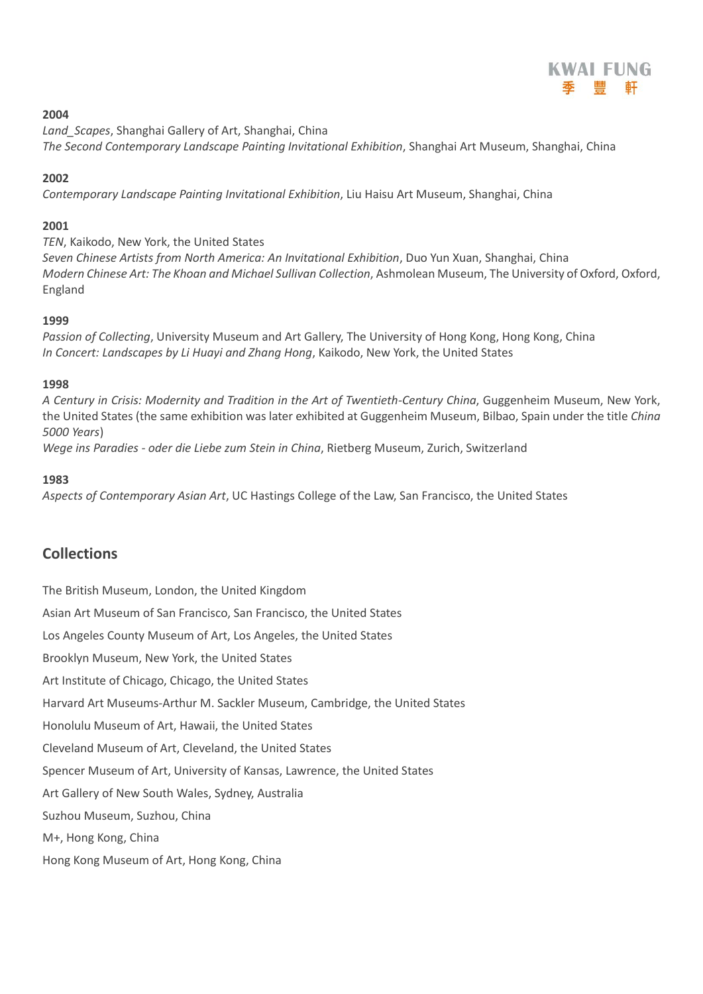

*Land\_Scapes*, Shanghai Gallery of Art, Shanghai, China *The Second Contemporary Landscape Painting Invitational Exhibition*, Shanghai Art Museum, Shanghai, China

# **2002**

*Contemporary Landscape Painting Invitational Exhibition*, Liu Haisu Art Museum, Shanghai, China

# **2001**

*TEN*, Kaikodo, New York, the United States *Seven Chinese Artists from North America: An Invitational Exhibition*, Duo Yun Xuan, Shanghai, China *Modern Chinese Art: The Khoan and Michael Sullivan Collection*, Ashmolean Museum, The University of Oxford, Oxford, England

# **1999**

*Passion of Collecting*, University Museum and Art Gallery, The University of Hong Kong, Hong Kong, China *In Concert: Landscapes by Li Huayi and Zhang Hong*, Kaikodo, New York, the United States

# **1998**

*A Century in Crisis: Modernity and Tradition in the Art of Twentieth-Century China*, Guggenheim Museum, New York, the United States (the same exhibition was later exhibited at Guggenheim Museum, Bilbao, Spain under the title *China 5000 Years*)

*Wege ins Paradies - oder die Liebe zum Stein in China*, Rietberg Museum, Zurich, Switzerland

# **1983**

*Aspects of Contemporary Asian Art*, UC Hastings College of the Law, San Francisco, the United States

# **Collections**

The British Museum, London, the United Kingdom Asian Art Museum of San Francisco, San Francisco, the United States Los Angeles County Museum of Art, Los Angeles, the United States Brooklyn Museum, New York, the United States Art Institute of Chicago, Chicago, the United States Harvard Art Museums-Arthur M. Sackler Museum, Cambridge, the United States Honolulu Museum of Art, Hawaii, the United States Cleveland Museum of Art, Cleveland, the United States Spencer Museum of Art, University of Kansas, Lawrence, the United States Art Gallery of New South Wales, Sydney, Australia Suzhou Museum, Suzhou, China M+, Hong Kong, China Hong Kong Museum of Art, Hong Kong, China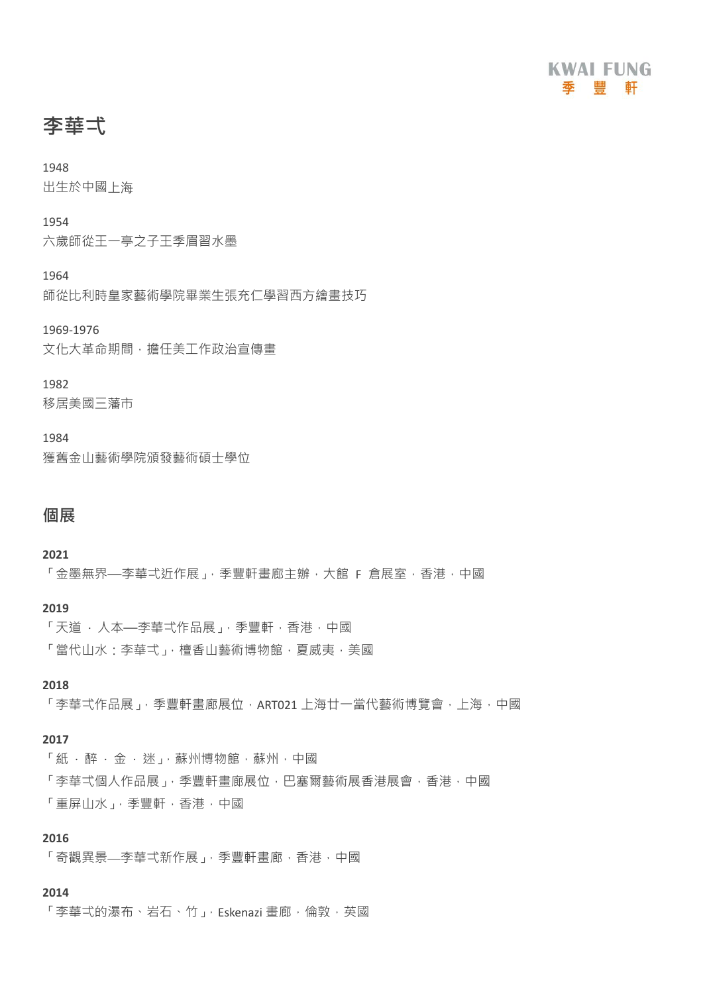

**李華弌**

出生於中國上海

1954

六歲師從王一亭之子王季眉習水墨

1964

師從比利時皇家藝術學院畢業生張充仁學習西方繪畫技巧

1969-1976

文化大革命期間,擔任美工作政治宣傳書

# 1982

移居美國三藩市

#### 1984

獲舊金山藝術學院頒發藝術碩士學位

# **個展**

**2021**

「金墨無界——李華弌沂作展」,季豐軒書廊主辦,大館 F 倉展室,香港,中國

#### **2019**

「天道 • 人本—李華弌作品展」, 季豐軒, 香港, 中國 「當代山水:李華弌」,檀香山藝術博物館,夏威夷,美國

#### **2018**

「李華弌作品展」,季豐軒書廊展位,ART021 上海廿一當代藝術博覽會,上海,中國

#### **2017**

「紙 ‧ 醉 ‧ 金 ‧ 迷」,蘇州博物館,蘇州,中國 「李華弌個人作品展」,季豐軒畫廊展位,巴塞爾藝術展香港展會,香港,中國 「重屏山水」,季豐軒,香港,中國

#### **2016**

「奇觀異景—李華弌新作展」,季豐軒書廊,香港,中國

#### **2014**

「李華弌的瀑布、岩石、竹」, Eskenazi 畫廊, 倫敦, 英國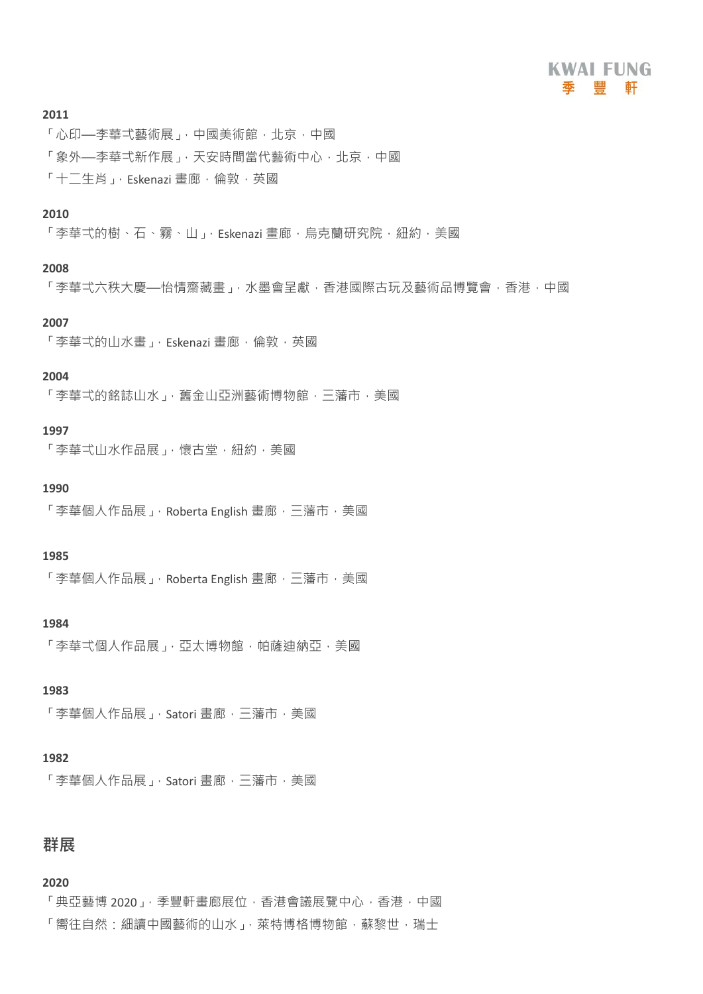# **KWAI FUNG** 季 豐 軒

#### **2011**

「心印—李華弌藝術展」,中國美術館,北京,中國 「象外—李華弌新作展」,天安時間當代藝術中心,北京,中國  $\lceil + \rceil$ 牛人当、Fskenazi 畫廊,倫敦,英國

# **2010**

「李華弌的樹、石、霧、山」, Eskenazi 書廊, 烏克蘭研究院, 紐約, 美國

#### **2008**

「李華弌六秩大慶—怡情齋藏書」,水墨會呈獻,香港國際古玩及藝術品博覽會,香港,中國

# **2007**

「李華弌的山水畫」, Eskenazi 畫廊, 倫敦, 英國

#### **2004**

「李華弌的銘誌山水」,舊金山亞洲藝術博物館,三藩市,美國

#### **1997**

「李華弌山水作品展」,懷古堂, 紐約, 美國

#### **1990**

「李華個人作品展」, Roberta English 畫廊, 三藩市, 美國

#### **1985**

「李華個人作品展」, Roberta English 畫廊, 三藩市, 美國

#### **1984**

「李華弌個人作品展」,亞太博物館,帕薩油納亞,美國

# **1983**

「李華個人作品展」, Satori 畫廊, 三藩市, 美國

#### **1982**

「李華個人作品展」, Satori 畫廊, 三藩市, 美國

# **群展**

#### **2020**

「典亞藝博 2020」,季豐軒畫廊展位,香港會議展覽中心,香港,中國 「嚮往自然:細讀中國藝術的山水」,萊特博格博物館,蘇黎世,瑞士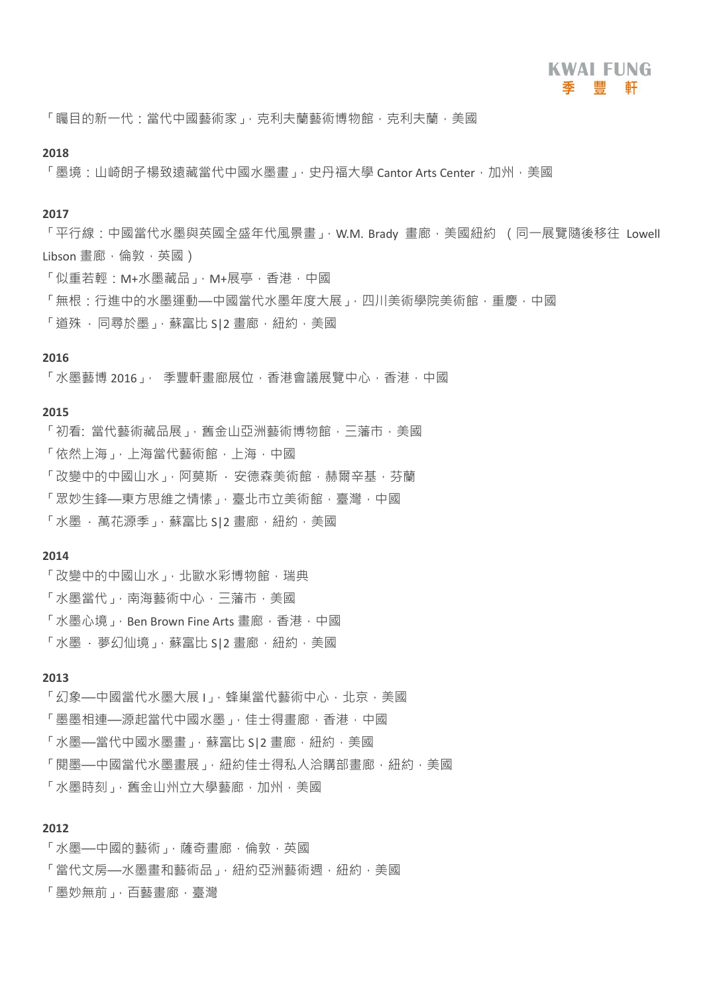「矚目的新一代:當代中國藝術家」,克利夫蘭藝術博物館,克利夫蘭,美國

#### **2018**

「墨境:山崎朗子楊致遠藏當代中國水墨書」,史丹福大學 Cantor Arts Center, 加州,美國

#### **2017**

「平行線:中國當代水墨與英國全盛年代風景畫」, W.M. Brady 畫廊, 美國紐約 (同一展覽隨後移往 Lowell Libson 書廊,倫敦,英國)

- 「似重若輕:M+水墨藏品」,M+展亭,香港,中國
- 「無根·行進中的水墨運動—中國當代水墨年度大展」,四川美術學院美術館,重慶,中國
- 「道殊 · 同尋於墨」, 蘇富比 SI2 畫廊, 紐約, 美國

#### **2016**

「水墨藝博 2016」, 季豐軒書廊展位,香港會議展覽中心,香港,中國

#### **2015**

- 「初看: 當代藝術藏品展」, 舊金山亞洲藝術博物館, 三藩市, 美國
- 「依然上海」,上海當代藝術館,上海,中國
- 「改變中的中國山水」,阿莫斯 · 安德森美術館,赫爾辛基,芬蘭
- 「眾妙生鋒—東方思維之情愫」, 臺北市立美術館, 臺灣, 中國
- 「水墨 · 萬花源季」, 蘇富比 S|2 畫廊, 紐約, 美國

#### **2014**

- 「改變中的中國山水」,北歐水彩博物館,瑞典
- 「水墨當代」,南海藝術中心,三藩市,美國
- 「水墨心境」, Ben Brown Fine Arts 畫廊, 香港, 中國
- 「水墨 · 夢幻仙境 」, 蘇富比 SI2 書廊, 紐約, 美國

#### **2013**

「幻象—中國當代水墨大展」,蝰巢當代藝術中心,批京,美國 「墨墨相連—源起當代中國水墨」,佳士得畫廊,香港,中國 「水墨—當代中國水墨畫」, 蘇富比 SI2 畫廊, 紐約, 美國 「閱墨—中國當代水墨書展」, 紐約佳士得私人洽購部書廊, 紐約, 美國 「水墨時刻」,舊金山州立大學藝廊,加州,美國

#### **2012**

- 「水墨—中國的藝術」,薩奇書廊,倫敦,英國
- 「當代文房—水墨書和藝術品」, 紐約亞洲藝術週, 紐約, 美國
- 「墨妙無前」,百藝書廊,臺灣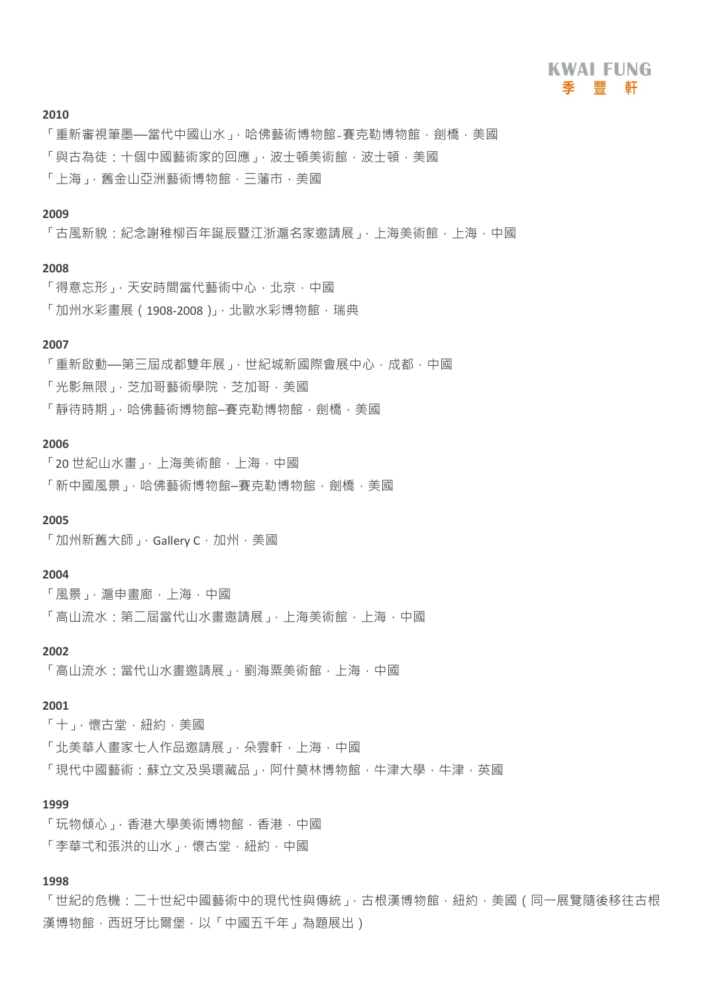「重新審視筆墨—當代中國山水」,哈佛藝術博物館-賽克勒博物館,劍橋,美國 「與古為徒:十個中國藝術家的回應」,波十頓美術館,波十頓,美國 「上海」,舊金山亞洲藝術博物館,三藩市,美國

#### **2009**

「古風新貌:紀念謝稚柳百年誕辰暨江浙滬名家邀請展」,上海美術館,上海,中國

#### **2008**

「得意忘形」,天安時間當代藝術中心,北京,中國 「加州水彩畫展 (1908-2008)」, 北歐水彩博物館, 瑞典

#### **2007**

「重新啟動—第三屆成都雙年展」,世紀城新國際會展中心,成都,中國 「光影無限」, 芝加哥藝術學院, 芝加哥, 美國 「靜待時期」,哈佛藝術博物館–賽克勒博物館,劍橋,美國

#### **2006**

「20 世紀山水畫」,上海美術館,上海,中國 「新中國風景」,哈佛藝術博物館–賽克勒博物館,劍橋,美國

#### **2005**

「加州新舊大師」, Gallery C, 加州, 美國

#### **2004**

- 「風景」, 滬申書廊, 上海, 中國
- 「高山流水·第二屆當代山水畫激請展」,上海美術館,上海,中國

#### **2002**

「高山流水:當代山水書激請展」,劉海粟美術館,上海,中國

#### **2001**

- 「十」,懷古堂,紐約,美國
- 「北美華人畫家七人作品邀請展」,朵雲軒,上海,中國
- 「現代中國藝術:蘇立文及吳環藏品」,阿什莫林博物館,牛津大學,牛津,英國

#### **1999**

- 「玩物傾心」,香港大學美術博物館,香港,中國
- 「李華弌和張洪的山水」,懷古堂,紐約,中國

# **1998**

「世紀的危機:二十世紀中國藝術中的現代性與傳統」,古根漢博物館,紐約,美國(同一展覽隨後移往古根 漢博物館,西班牙比爾堡,以「中國五千年」為題展出)